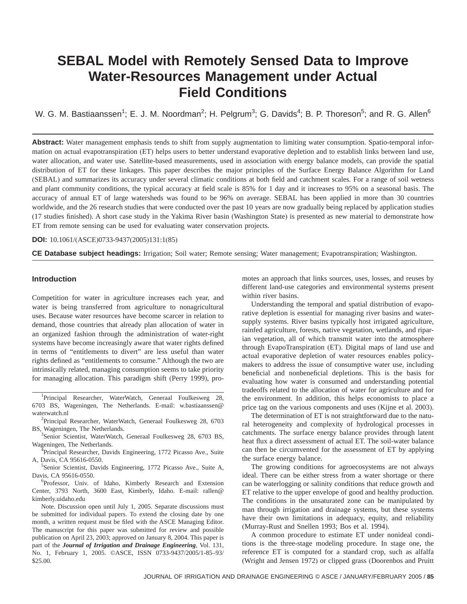# **SEBAL Model with Remotely Sensed Data to Improve Water-Resources Management under Actual Field Conditions**

W. G. M. Bastiaanssen<sup>1</sup>; E. J. M. Noordman<sup>2</sup>; H. Pelgrum<sup>3</sup>; G. Davids<sup>4</sup>; B. P. Thoreson<sup>5</sup>; and R. G. Allen<sup>6</sup>

**Abstract:** Water management emphasis tends to shift from supply augmentation to limiting water consumption. Spatio-temporal information on actual evapotranspiration (ET) helps users to better understand evaporative depletion and to establish links between land use, water allocation, and water use. Satellite-based measurements, used in association with energy balance models, can provide the spatial distribution of ET for these linkages. This paper describes the major principles of the Surface Energy Balance Algorithm for Land (SEBAL) and summarizes its accuracy under several climatic conditions at both field and catchment scales. For a range of soil wetness and plant community conditions, the typical accuracy at field scale is 85% for 1 day and it increases to 95% on a seasonal basis. The accuracy of annual ET of large watersheds was found to be 96% on average. SEBAL has been applied in more than 30 countries worldwide, and the 26 research studies that were conducted over the past 10 years are now gradually being replaced by application studies (17 studies finished). A short case study in the Yakima River basin (Washington State) is presented as new material to demonstrate how ET from remote sensing can be used for evaluating water conservation projects.

**DOI:** 10.1061/(ASCE)0733-9437(2005)131:1(85)

**CE Database subject headings:** Irrigation; Soil water; Remote sensing; Water management; Evapotranspiration; Washington.

# **Introduction**

Competition for water in agriculture increases each year, and water is being transferred from agriculture to nonagricultural uses. Because water resources have become scarcer in relation to demand, those countries that already plan allocation of water in an organized fashion through the administration of water-right systems have become increasingly aware that water rights defined in terms of "entitlements to divert" are less useful than water rights defined as "entitlements to consume." Although the two are intrinsically related, managing consumption seems to take priority for managing allocation. This paradigm shift (Perry 1999), pro-

<sup>1</sup>Principal Researcher, WaterWatch, Generaal Foulkesweg 28, 6703 BS, Wageningen, The Netherlands. E-mail: w.bastiaanssen@ waterwatch.nl

<sup>2</sup>Principal Researcher, WaterWatch, Generaal Foulkesweg 28, 6703 BS, Wageningen, The Netherlands.

<sup>3</sup>Senior Scientist, WaterWatch, Generaal Foulkesweg 28, 6703 BS, Wageningen, The Netherlands. <sup>4</sup>

Principal Researcher, Davids Engineering, 1772 Picasso Ave., Suite A, Davis, CA 95616-0550.

Senior Scientist, Davids Engineering, 1772 Picasso Ave., Suite A, Davis, CA 95616-0550. <sup>6</sup>

<sup>6</sup>Professor, Univ. of Idaho, Kimberly Research and Extension Center, 3793 North, 3600 East, Kimberly, Idaho. E-mail: rallen@ kimberly.uidaho.edu

Note. Discussion open until July 1, 2005. Separate discussions must be submitted for individual papers. To extend the closing date by one month, a written request must be filed with the ASCE Managing Editor. The manuscript for this paper was submitted for review and possible publication on April 23, 2003; approved on January 8, 2004. This paper is part of the *Journal of Irrigation and Drainage Engineering*, Vol. 131, No. 1, February 1, 2005. ©ASCE, ISSN 0733-9437/2005/1-85–93/ \$25.00.

motes an approach that links sources, uses, losses, and reuses by different land-use categories and environmental systems present within river basins.

Understanding the temporal and spatial distribution of evaporative depletion is essential for managing river basins and watersupply systems. River basins typically host irrigated agriculture, rainfed agriculture, forests, native vegetation, wetlands, and riparian vegetation, all of which transmit water into the atmosphere through EvapoTranspiration (ET). Digital maps of land use and actual evaporative depletion of water resources enables policymakers to address the issue of consumptive water use, including beneficial and nonbeneficial depletions. This is the basis for evaluating how water is consumed and understanding potential tradeoffs related to the allocation of water for agriculture and for the environment. In addition, this helps economists to place a price tag on the various components and uses (Kijne et al. 2003).

The determination of ET is not straightforward due to the natural heterogeneity and complexity of hydrological processes in catchments. The surface energy balance provides through latent heat flux a direct assessment of actual ET. The soil-water balance can then be circumvented for the assessment of ET by applying the surface energy balance.

The growing conditions for agroecosystems are not always ideal. There can be either stress from a water shortage or there can be waterlogging or salinity conditions that reduce growth and ET relative to the upper envelope of good and healthy production. The conditions in the unsaturated zone can be manipulated by man through irrigation and drainage systems, but these systems have their own limitations in adequacy, equity, and reliability (Murray-Rust and Snellen 1993; Bos et al. 1994).

A common procedure to estimate ET under nonideal conditions is the three-stage modeling procedure. In stage one, the reference ET is computed for a standard crop, such as alfalfa (Wright and Jensen 1972) or clipped grass (Doorenbos and Pruitt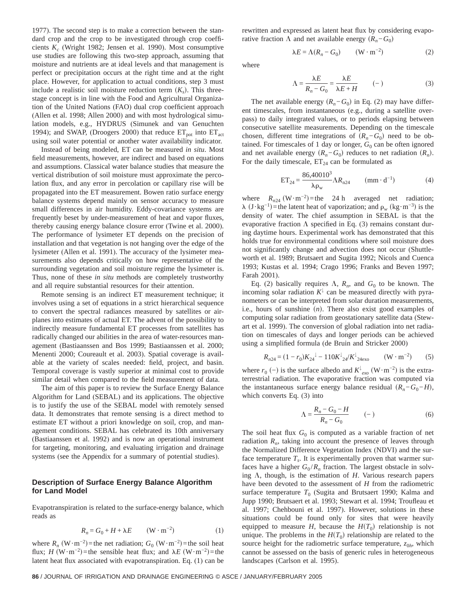1977). The second step is to make a correction between the standard crop and the crop to be investigated through crop coefficients *Kc* (Wright 1982; Jensen et al. 1990). Most consumptive use studies are following this two-step approach, assuming that moisture and nutrients are at ideal levels and that management is perfect or precipitation occurs at the right time and at the right place. However, for application to actual conditions, step 3 must include a realistic soil moisture reduction term  $(K<sub>s</sub>)$ . This threestage concept is in line with the Food and Agricultural Organization of the United Nations (FAO) dual crop coefficient approach (Allen et al. 1998; Allen 2000) and with most hydrological simulation models, e.g., HYDRUS (Simunek and van Genuchten 1994); and SWAP, (Droogers 2000) that reduce  $ET_{pot}$  into  $ET_{act}$ using soil water potential or another water availability indicator.

Instead of being modeled, ET can be measured *in situ*. Most field measurements, however, are indirect and based on equations and assumptions. Classical water balance studies that measure the vertical distribution of soil moisture must approximate the percolation flux, and any error in percolation or capillary rise will be propagated into the ET measurement. Bowen ratio surface energy balance systems depend mainly on sensor accuracy to measure small differences in air humidity. Eddy-covariance systems are frequently beset by under-measurement of heat and vapor fluxes, thereby causing energy balance closure error (Twine et al. 2000). The performance of lysimeter ET depends on the precision of installation and that vegetation is not hanging over the edge of the lysimeter (Allen et al. 1991). The accuracy of the lysimeter measurements also depends critically on how representative of the surrounding vegetation and soil moisture regime the lysimeter is. Thus, none of these *in situ* methods are completely trustworthy and all require substantial resources for their attention.

Remote sensing is an indirect ET measurement technique; it involves using a set of equations in a strict hierarchical sequence to convert the spectral radiances measured by satellites or airplanes into estimates of actual ET. The advent of the possibility to indirectly measure fundamental ET processes from satellites has radically changed our abilities in the area of water-resources management (Bastiaanssen and Bos 1999; Bastiaanssen et al. 2000; Menenti 2000; Coureault et al. 2003). Spatial coverage is available at the variety of scales needed: field, project, and basin. Temporal coverage is vastly superior at minimal cost to provide similar detail when compared to the field measurement of data.

The aim of this paper is to review the Surface Energy Balance Algorithm for Land (SEBAL) and its applications. The objective is to justify the use of the SEBAL model with remotely sensed data. It demonstrates that remote sensing is a direct method to estimate ET without a priori knowledge on soil, crop, and management conditions. SEBAL has celebrated its 10th anniversary (Bastiaanssen et al. 1992) and is now an operational instrument for targeting, monitoring, and evaluating irrigation and drainage systems (see the Appendix for a summary of potential studies).

## **Description of Surface Energy Balance Algorithm for Land Model**

Evapotranspiration is related to the surface-energy balance, which reads as

$$
R_n = G_0 + H + \lambda E \qquad (\text{W} \cdot \text{m}^{-2}) \tag{1}
$$

where  $R_n$  (W·m<sup>-2</sup>)=the net radiation;  $G_0$  (W·m<sup>-2</sup>)=the soil heat flux; *H* (W·m<sup>-2</sup>)=the sensible heat flux; and  $\lambda E$  (W·m<sup>-2</sup>)=the latent heat flux associated with evapotranspiration. Eq. (1) can be rewritten and expressed as latent heat flux by considering evaporative fraction  $\Lambda$  and net available energy  $(R_n−G_0)$ 

 $\lambda E = \Lambda (R_n - G_0)$  (W·m<sup>-2</sup>) (2)

where

$$
\Lambda = \frac{\lambda E}{R_n - G_0} = \frac{\lambda E}{\lambda E + H} \qquad (-)
$$
 (3)

The net available energy  $(R_n-G_0)$  in Eq. (2) may have different timescales, from instantaneous (e.g., during a satellite overpass) to daily integrated values, or to periods elapsing between consecutive satellite measurements. Depending on the timescale chosen, different time integrations of  $(R_n-G_0)$  need to be obtained. For timescales of 1 day or longer,  $G_0$  can be often ignored and net available energy  $(R_n - G_0)$  reduces to net radiation  $(R_n)$ . For the daily timescale,  $ET_{24}$  can be formulated as

$$
ET_{24} = \frac{86,40010^3}{\lambda \rho_w} \Lambda R_{n24} \qquad (mm \cdot d^{-1})
$$
 (4)

where  $R_{n24}$  (W·m<sup>-2</sup>)=the 24 h averaged net radiation;  $\lambda$  (J·kg<sup>-1</sup>)=the latent heat of vaporization; and  $\rho_w$  (kg·m<sup>-3</sup>) is the density of water. The chief assumption in SEBAL is that the evaporative fraction  $\Lambda$  specified in Eq. (3) remains constant during daytime hours. Experimental work has demonstrated that this holds true for environmental conditions where soil moisture does not significantly change and advection does not occur (Shuttleworth et al. 1989; Brutsaert and Sugita 1992; Nicols and Cuenca 1993; Kustas et al. 1994; Crago 1996; Franks and Beven 1997; Farah 2001).

Eq. (2) basically requires  $\Lambda$ ,  $R_n$ , and  $G_0$  to be known. The incoming solar radiation  $K^{\downarrow}$  can be measured directly with pyranometers or can be interpreted from solar duration measurements, i.e., hours of sunshine (n). There also exist good examples of computing solar radiation from geostationary satellite data (Stewart et al. 1999). The conversion of global radiation into net radiation on timescales of days and longer periods can be achieved using a simplified formula (de Bruin and Stricker 2000)

$$
R_{n24} = (1 - r_0)K_{24}{}^{\downarrow} - 110K^{\downarrow}{}_{24}/K^{\downarrow}{}_{24\text{exo}} \qquad (\text{W} \cdot \text{m}^{-2}) \qquad (5)
$$

where  $r_0$  (-) is the surface albedo and  $K^{\downarrow}_{\text{exo}}$  (W·m<sup>-2</sup>) is the extraterrestrial radiation. The evaporative fraction was computed via the instantaneous surface energy balance residual  $(R_n-G_0-H)$ , which converts Eq. (3) into

$$
\Lambda = \frac{R_n - G_0 - H}{R_n - G_0} \qquad (-)
$$
\n
$$
(6)
$$

The soil heat flux  $G_0$  is computed as a variable fraction of net radiation  $R_n$ , taking into account the presence of leaves through the Normalized Difference Vegetation Index (NDVI) and the surface temperature  $T<sub>s</sub>$ . It is experimentally proven that warmer surfaces have a higher  $G_0/R_n$  fraction. The largest obstacle in solving  $\Lambda$ , though, is the estimation of  $H$ . Various research papers have been devoted to the assessment of *H* from the radiometric surface temperature  $T_0$  (Sugita and Brutsaert 1990; Kalma and Jupp 1990; Brutsaert et al. 1993; Stewart et al. 1994; Troufleau et al. 1997; Chehbouni et al. 1997). However, solutions in these situations could be found only for sites that were heavily equipped to measure *H*, because the  $H(T_0)$  relationship is not unique. The problems in the  $H(T_0)$  relationship are related to the source height for the radiometric surface temperature,  $z_{0h}$ , which cannot be assessed on the basis of generic rules in heterogeneous landscapes (Carlson et al. 1995).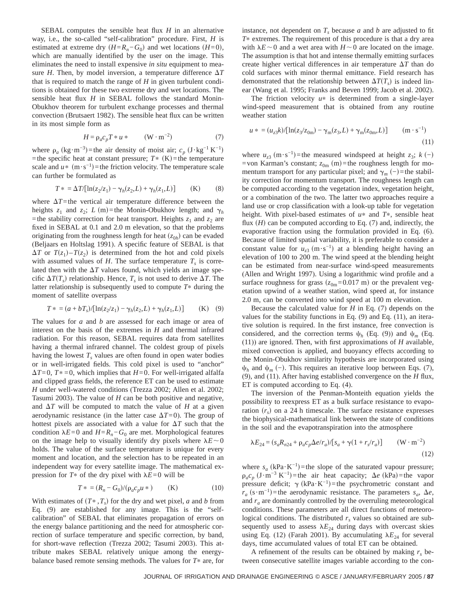SEBAL computes the sensible heat flux *H* in an alternative way, i.e., the so-called "self-calibration" procedure. First, *H* is estimated at extreme dry  $(H=R_n-G_0)$  and wet locations  $(H=0)$ , which are manually identified by the user on the image. This eliminates the need to install expensive *in situ* equipment to measure *H*. Then, by model inversion, a temperature difference  $\Delta T$ that is required to match the range of *H* in given turbulent conditions is obtained for these two extreme dry and wet locations. The sensible heat flux *H* in SEBAL follows the standard Monin-Obukhov theorem for turbulent exchange processes and thermal convection (Brutsaert 1982). The sensible heat flux can be written in its most simple form as

$$
H = \rho_a c_p T * u * \qquad (\mathbf{W} \cdot \mathbf{m}^{-2}) \tag{7}
$$

where  $p_a$  (kg·m<sup>-3</sup>)=the air density of moist air;  $c_p$  (J·kg<sup>-1</sup> K<sup>-1</sup>) =the specific heat at constant pressure;  $T*(K)$ =the temperature scale and  $u * (m \cdot s^{-1})$ =the friction velocity. The temperature scale can further be formulated as

$$
T * = \Delta T / [\ln(z_2 / z_1) - \gamma_h(z_2, L) + \gamma_h(z_1, L)] \quad (K) \quad (8)
$$

where  $\Delta T$ =the vertical air temperature difference between the heights  $z_1$  and  $z_2$ ; *L* (m)=the Monin-Obukhov length; and  $\gamma_h$ =the stability correction for heat transport. Heights  $z_1$  and  $z_2$  are fixed in SEBAL at 0.1 and 2.0 m elevation, so that the problems originating from the roughness length for heat  $(z_{0h})$  can be evaded (Beljaars en Holtslag 1991). A specific feature of SEBAL is that  $\Delta T$  or  $T(z_1) - T(z_2)$  is determined from the hot and cold pixels with assumed values of *H*. The surface temperature  $T_s$  is correlated then with the  $\Delta T$  values found, which yields an image specific  $\Delta T(T_s)$  relationship. Hence,  $T_s$  is not used to derive  $\Delta T$ . The latter relationship is subsequently used to compute  $T^*$  during the moment of satellite overpass

$$
T^* = (a + bT_s) / [\ln(z_2/z_1) - \gamma_h(z_2, L) + \gamma_h(z_1, L)] \qquad (K) \quad (9)
$$

The values for *a* and *b* are assessed for each image or area of interest on the basis of the extremes in *H* and thermal infrared radiation. For this reason, SEBAL requires data from satellites having a thermal infrared channel. The coldest group of pixels having the lowest  $T<sub>s</sub>$  values are often found in open water bodies or in well-irrigated fields. This cold pixel is used to "anchor"  $\Delta T=0$ ,  $T*=0$ , which implies that  $H=0$ . For well-irrigated alfalfa and clipped grass fields, the reference ET can be used to estimate *H* under well-watered conditions (Trezza 2002; Allen et al. 2002; Tasumi 2003). The value of *H* can be both positive and negative, and  $\Delta T$  will be computed to match the value of *H* at a given aerodynamic resistance (in the latter case  $\Delta T=0$ ). The group of hottest pixels are associated with a value for  $\Delta T$  such that the condition  $\lambda E = 0$  and  $H = R_n - G_0$  are met. Morphological features on the image help to visually identify dry pixels where  $\lambda E \sim 0$ holds. The value of the surface temperature is unique for every moment and location, and the selection has to be repeated in an independent way for every satellite image. The mathematical expression for  $T^*$  of the dry pixel with  $\lambda E=0$  will be

$$
T^* = (R_n - G_0) / (\rho_a c_p u^*)
$$
 (K) (10)

With estimates of  $(T*, T_s)$  for the dry and wet pixel, *a* and *b* from Eq. (9) are established for any image. This is the "selfcalibration" of SEBAL that eliminates propagation of errors on the energy balance partitioning and the need for atmospheric correction of surface temperature and specific correction, by band, for short-wave reflection (Trezza 2002; Tasumi 2003). This attribute makes SEBAL relatively unique among the energybalance based remote sensing methods. The values for  $T^*$  are, for instance, not dependent on  $T<sub>s</sub>$  because  $a$  and  $b$  are adjusted to fit *T*\* extremes. The requirement of this procedure is that a dry area with  $\lambda E \sim 0$  and a wet area with  $H \sim 0$  are located on the image. The assumption is that hot and intense thermally emitting surfaces create higher vertical differences in air temperature  $\Delta T$  than do cold surfaces with minor thermal emittance. Field research has demonstrated that the relationship between  $\Delta T(T_s)$  is indeed linear (Wang et al. 1995; Franks and Beven 1999; Jacob et al. 2002).

The friction velocity  $u^*$  is determined from a single-layer wind-speed measurement that is obtained from any routine weather station

$$
u * = (u_{z3}k)/[\ln(z_3/z_{0m}) - \gamma_m(z_3, L) + \gamma_m(z_{0m}, L)] \qquad (m \cdot s^{-1})
$$
\n(11)

where  $u_{z3}$  (m·s<sup>-1</sup>)=the measured windspeed at height *z*<sub>3</sub>; *k* (−) =von Karman's constant;  $z_{0m}$  (m)=the roughness length for momentum transport for any particular pixel; and  $\gamma_m$  (-)=the stability correction for momentum transport. The roughness length can be computed according to the vegetation index, vegetation height, or a combination of the two. The latter two approaches require a land use or crop classification with a look-up table for vegetation height. With pixel-based estimates of  $u^*$  and  $T^*$ , sensible heat flux  $(H)$  can be computed according to Eq. (7) and, indirectly, the evaporative fraction using the formulation provided in Eq. (6). Because of limited spatial variability, it is preferable to consider a constant value for  $u_{z3}$  (m·s<sup>-1</sup>) at a blending height having an elevation of 100 to 200 m. The wind speed at the blending height can be estimated from near-surface wind-speed measurements (Allen and Wright 1997). Using a logarithmic wind profile and a surface roughness for grass  $(z_{0m}=0.017 \text{ m})$  or the prevalent vegetation upwind of a weather station, wind speed at, for instance 2.0 m, can be converted into wind speed at 100 m elevation.

Because the calculated value for *H* in Eq. (7) depends on the values for the stability functions in Eq. (9) and Eq. (11), an iterative solution is required. In the first instance, free convection is considered, and the correction terms  $\psi_h$  (Eq. (9)) and  $\psi_m$  (Eq. (11)) are ignored. Then, with first approximations of *H* available, mixed convection is applied, and buoyancy effects according to the Monin-Obukhov similarity hypothesis are incorporated using  $\psi_h$  and  $\psi_m$  (−). This requires an iterative loop between Eqs. (7), (9), and (11). After having established convergence on the *H* flux, ET is computed according to Eq. (4).

The inversion of the Penman-Monteith equation yields the possibility to reexpress ET as a bulk surface resistance to evaporation  $(r<sub>s</sub>)$  on a 24 h timescale. The surface resistance expresses the biophysical-mathematical link between the state of conditions in the soil and the evapotranspiration into the atmosphere

$$
\lambda E_{24} = (s_a R_{n24} + \rho_a c_p \Delta e / r_a) / [s_a + \gamma (1 + r_s / r_a)] \qquad (\text{W} \cdot \text{m}^{-2})
$$
\n(12)

where  $s_a$  (kPa·K<sup>-1</sup>)=the slope of the saturated vapour pressure;  $\rho_a c_p$  (J·m<sup>-3</sup> K<sup>-1</sup>)=the air heat capacity;  $\Delta e$  (kPa)=the vapor pressure deficit;  $\gamma$  (kPa·K<sup>-1</sup>)=the psychrometric constant and  $r_a$  (s⋅m<sup>-1</sup>)=the aerodynamic resistance. The parameters  $s_a$ ,  $\Delta e$ , and  $r_a$  are dominantly controlled by the overruling meteorological conditions. These parameters are all direct functions of meteorological conditions. The distributed  $r<sub>s</sub>$  values so obtained are subsequently used to assess  $\lambda E_{24}$  during days with overcast skies using Eq. (12) (Farah 2001). By accumulating  $\lambda E_{24}$  for several days, time accumulated values of total ET can be obtained.

A refinement of the results can be obtained by making  $r<sub>s</sub>$  between consecutive satellite images variable according to the con-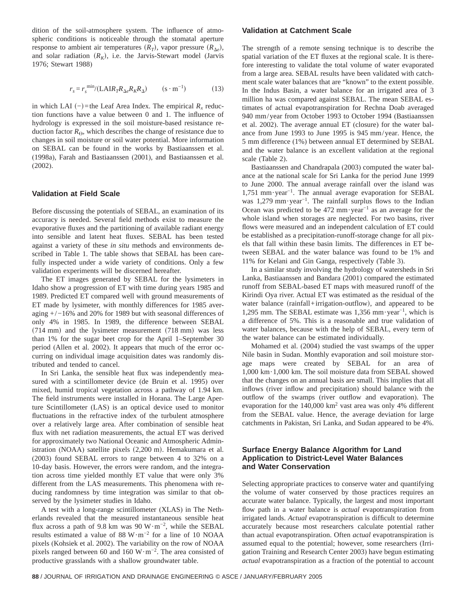dition of the soil-atmosphere system. The influence of atmospheric conditions is noticeable through the stomatal aperture response to ambient air temperatures  $(R_T)$ , vapor pressure  $(R_{\Lambda_e})$ , and solar radiation  $(R_K)$ , i.e. the Jarvis-Stewart model (Jarvis 1976; Stewart 1988)

$$
r_s = r_s^{\min} / (LAIR_T R_{\Delta e} R_K R_\Delta) \qquad (s \cdot m^{-1}) \tag{13}
$$

in which LAI  $(-)$ =the Leaf Area Index. The empirical  $R<sub>x</sub>$  reduction functions have a value between 0 and 1. The influence of hydrology is expressed in the soil moisture-based resistance reduction factor  $R_{\Theta}$ , which describes the change of resistance due to changes in soil moisture or soil water potential. More information on SEBAL can be found in the works by Bastiaanssen et al. (1998a), Farah and Bastiaanssen (2001), and Bastiaanssen et al. (2002).

## **Validation at Field Scale**

Before discussing the potentials of SEBAL, an examination of its accuracy is needed. Several field methods exist to measure the evaporative fluxes and the partitioning of available radiant energy into sensible and latent heat fluxes. SEBAL has been tested against a variety of these *in situ* methods and environments described in Table 1. The table shows that SEBAL has been carefully inspected under a wide variety of conditions. Only a few validation experiments will be discerned hereafter.

The ET images generated by SEBAL for the lysimeters in Idaho show a progression of ET with time during years 1985 and 1989. Predicted ET compared well with ground measurements of ET made by lysimeter, with monthly differences for 1985 averaging +/−16% and 20% for 1989 but with seasonal differences of only 4% in 1985. In 1989, the difference between SEBAL  $(714 \text{ mm})$  and the lysimeter measurement  $(718 \text{ mm})$  was less than 1% for the sugar beet crop for the April 1–September 30 period (Allen et al. 2002). It appears that much of the error occurring on individual image acquisition dates was randomly distributed and tended to cancel.

In Sri Lanka, the sensible heat flux was independently measured with a scintillometer device (de Bruin et al. 1995) over mixed, humid tropical vegetation across a pathway of 1.94 km. The field instruments were installed in Horana. The Large Aperture Scintillometer (LAS) is an optical device used to monitor fluctuations in the refractive index of the turbulent atmosphere over a relatively large area. After combination of sensible heat flux with net radiation measurements, the actual ET was derived for approximately two National Oceanic and Atmospheric Administration (NOAA) satellite pixels  $(2,200 \text{ m})$ . Hemakumara et al. (2003) found SEBAL errors to range between 4 to 32% on a 10-day basis. However, the errors were random, and the integration across time yielded monthly ET value that were only 3% different from the LAS measurements. This phenomena with reducing randomness by time integration was similar to that observed by the lysimeter studies in Idaho.

A test with a long-range scintillometer (XLAS) in The Netherlands revealed that the measured instantaneous sensible heat flux across a path of 9.8 km was 90 W·m−2, while the SEBAL results estimated a value of 88 W·m−2 for a line of 10 NOAA pixels (Kohsiek et al. 2002). The variability on the row of NOAA pixels ranged between 60 and 160 W·m−2. The area consisted of productive grasslands with a shallow groundwater table.

### **Validation at Catchment Scale**

The strength of a remote sensing technique is to describe the spatial variation of the ET fluxes at the regional scale. It is therefore interesting to validate the total volume of water evaporated from a large area. SEBAL results have been validated with catchment scale water balances that are "known" to the extent possible. In the Indus Basin, a water balance for an irrigated area of 3 million ha was compared against SEBAL. The mean SEBAL estimates of actual evapotranspiration for Rechna Doab averaged 940 mm/year from October 1993 to October 1994 (Bastiaanssen et al. 2002). The average annual ET (closure) for the water balance from June 1993 to June 1995 is 945 mm/year. Hence, the 5 mm difference (1%) between annual ET determined by SEBAL and the water balance is an excellent validation at the regional scale (Table 2).

Bastiaanssen and Chandrapala (2003) computed the water balance at the national scale for Sri Lanka for the period June 1999 to June 2000. The annual average rainfall over the island was 1,751 mm·year−1. The annual average evaporation for SEBAL was 1,279 mm·year−1. The rainfall surplus flows to the Indian Ocean was predicted to be 472 mm·year−1 as an average for the whole island when storages are neglected. For two basins, river flows were measured and an independent calculation of ET could be established as a precipitation-runoff-storage change for all pixels that fall within these basin limits. The differences in ET between SEBAL and the water balance was found to be 1% and 11% for Kelani and Gin Ganga, respectively (Table 3).

In a similar study involving the hydrology of watersheds in Sri Lanka, Bastiaanssen and Bandara (2001) compared the estimated runoff from SEBAL-based ET maps with measured runoff of the Kirindi Oya river. Actual ET was estimated as the residual of the water balance (rainfall+irrigation-outflow), and appeared to be 1,295 mm. The SEBAL estimate was 1,356 mm·year−1, which is a difference of 5%. This is a reasonable and true validation of water balances, because with the help of SEBAL, every term of the water balance can be estimated individually.

Mohamed et al. (2004) studied the vast swamps of the upper Nile basin in Sudan. Monthly evaporation and soil moisture storage maps were created by SEBAL for an area of 1,000 km·1,000 km. The soil moisture data from SEBAL showed that the changes on an annual basis are small. This implies that all inflows (river inflow and precipitation) should balance with the outflow of the swamps (river outflow and evaporation). The evaporation for the 140,000 km<sup>2</sup> vast area was only 4% different from the SEBAL value. Hence, the average deviation for large catchments in Pakistan, Sri Lanka, and Sudan appeared to be 4%.

## **Surface Energy Balance Algorithm for Land Application to District-Level Water Balances and Water Conservation**

Selecting appropriate practices to conserve water and quantifying the volume of water conserved by those practices requires an accurate water balance. Typically, the largest and most important flow path in a water balance is *actual* evapotranspiration from irrigated lands. *Actual* evapotranspiration is difficult to determine accurately because most researchers calculate potential rather than actual evapotranspiration. Often *actual* evapotranspiration is assumed equal to the potential; however, some researchers (Irrigation Training and Research Center 2003) have begun estimating *actual* evapotranspiration as a fraction of the potential to account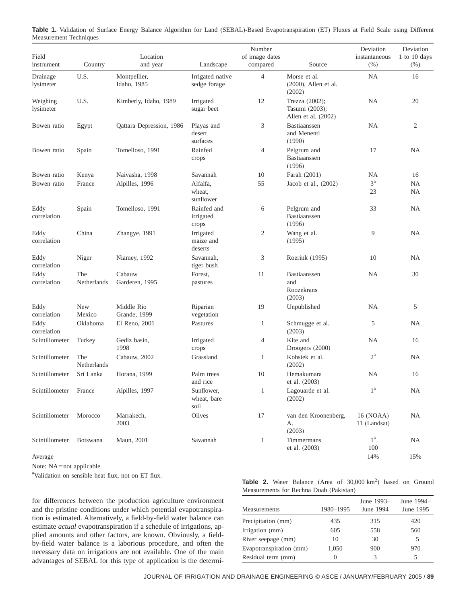| Field                 |                    | Location                    |                                   | Number<br>of image dates |                                                         | Deviation<br>instantaneous | Deviation<br>1 to 10 days |
|-----------------------|--------------------|-----------------------------|-----------------------------------|--------------------------|---------------------------------------------------------|----------------------------|---------------------------|
| instrument            | Country            | and year                    | Landscape                         | compared                 | Source                                                  | (% )                       | (% )                      |
| Drainage<br>lysimeter | U.S.               | Montpellier,<br>Idaho, 1985 | Irrigated native<br>sedge forage  | $\overline{4}$           | Morse et al.<br>$(2000)$ , Allen et al.<br>(2002)       | NA                         | 16                        |
| Weighing<br>lysimeter | U.S.               | Kimberly, Idaho, 1989       | Irrigated<br>sugar beet           | 12                       | Trezza (2002);<br>Tasumi (2003);<br>Allen et al. (2002) | NA                         | 20                        |
| Bowen ratio           | Egypt              | Qattara Depression, 1986    | Playas and<br>desert<br>surfaces  | 3                        | Bastiaanssen<br>and Menenti<br>(1990)                   | NA                         | 2                         |
| Bowen ratio           | Spain              | Tomelloso, 1991             | Rainfed<br>crops                  | $\overline{4}$           | Pelgrum and<br>Bastiaanssen<br>(1996)                   | 17                         | NA                        |
| Bowen ratio           | Kenya              | Naivasha, 1998              | Savannah                          | 10                       | Farah (2001)                                            | NA                         | 16                        |
| Bowen ratio           | France             | Alpilles, 1996              | Alfalfa,                          | 55                       | Jacob et al., (2002)                                    | $3^a$                      | NA                        |
|                       |                    |                             | wheat,<br>sunflower               |                          |                                                         | 23                         | NA                        |
| Eddy<br>correlation   | Spain              | Tomelloso, 1991             | Rainfed and<br>irrigated<br>crops | 6                        | Pelgrum and<br>Bastiaanssen<br>(1996)                   | 33                         | NA                        |
| Eddy<br>correlation   | China              | Zhangye, 1991               | Irrigated<br>maize and<br>deserts | 2                        | Wang et al.<br>(1995)                                   | 9                          | NA                        |
| Eddy<br>correlation   | Niger              | Niamey, 1992                | Savannah,<br>tiger bush           | 3                        | Roerink (1995)                                          | 10                         | NA                        |
| Eddy<br>correlation   | The<br>Netherlands | Cabauw<br>Garderen, 1995    | Forest,<br>pastures               | 11                       | Bastiaanssen<br>and<br>Roozekrans<br>(2003)             | NA                         | 30                        |
| Eddy<br>correlation   | New<br>Mexico      | Middle Rio<br>Grande, 1999  | Riparian<br>vegetation            | 19                       | Unpublished                                             | NA                         | 5                         |
| Eddy<br>correlation   | Oklahoma           | El Reno, 2001               | Pastures                          | 1                        | Schmugge et al.<br>(2003)                               | 5                          | NA                        |
| Scintillometer        | Turkey             | Gediz basin,<br>1998        | Irrigated<br>crops                | 4                        | Kite and<br>Droogers (2000)                             | NA                         | 16                        |
| Scintillometer        | The<br>Netherlands | Cabauw, 2002                | Grassland                         | $\mathbf{1}$             | Kohsiek et al.<br>(2002)                                | $2^{\mathrm{a}}$           | NA                        |
| Scintillometer        | Sri Lanka          | Horana, 1999                | Palm trees<br>and rice            | 10                       | Hemakumara<br>et al. (2003)                             | NA                         | 16                        |
| Scintillometer        | France             | Alpilles, 1997              | Sunflower,<br>wheat, bare<br>soil | $\mathbf{1}$             | Lagouarde et al.<br>(2002)                              | $1^{\mathrm{a}}$           | NA                        |
| Scintillometer        | Morocco            | Marrakech,<br>2003          | Olives                            | $17\,$                   | van den Kroonenberg,<br>А.<br>(2003)                    | 16 (NOAA)<br>11 (Landsat)  | NA                        |
| Scintillometer        | Botswana           | Maun, 2001                  | Savannah                          | $\mathbf{1}$             | Timmermans<br>et al. (2003)                             | $1^{\mathrm{a}}$<br>100    | NA                        |
| Average               |                    |                             |                                   |                          |                                                         | 14%                        | 15%                       |

**Table 1.** Validation of Surface Energy Balance Algorithm for Land (SEBAL)-Based Evapotranspiration (ET) Fluxes at Field Scale using Different Measurement Techniques

Note: NA=not applicable.

a Validation on sensible heat flux, not on ET flux.

for differences between the production agriculture environment and the pristine conditions under which potential evapotranspiration is estimated. Alternatively, a field-by-field water balance can estimate *actual* evapotranspiration if a schedule of irrigations, applied amounts and other factors, are known. Obviously, a fieldby-field water balance is a laborious procedure, and often the necessary data on irrigations are not available. One of the main advantages of SEBAL for this type of application is the determi-

#### Table 2. Water Balance (Area of 30,000 km<sup>2</sup>) based on Ground Measurements for Rechna Doab (Pakistan)

| <b>Measurements</b>     | 1980–1995 | June 1993–<br>June 1994 | June 1994–<br>June 1995 |
|-------------------------|-----------|-------------------------|-------------------------|
| Precipitation (mm)      | 435       | 315                     | 420                     |
| Irrigation (mm)         | 605       | 558                     | 560                     |
| River seepage (mm)      | 10        | 30                      | $-5$                    |
| Evapotranspiration (mm) | 1,050     | 900                     | 970                     |
| Residual term (mm)      | $\theta$  | 3                       |                         |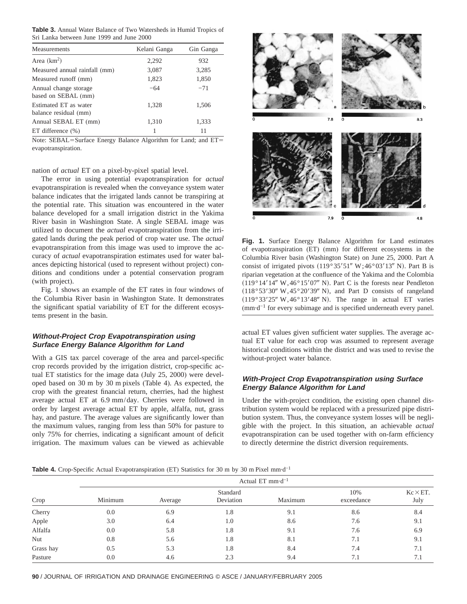**Table 3.** Annual Water Balance of Two Watersheds in Humid Tropics of Sri Lanka between June 1999 and June 2000

| Measurements                                   | Kelani Ganga | Gin Ganga |
|------------------------------------------------|--------------|-----------|
| Area $(km2)$                                   | 2,292        | 932       |
| Measured annual rainfall (mm)                  | 3,087        | 3,285     |
| Measured runoff (mm)                           | 1,823        | 1,850     |
| Annual change storage<br>based on SEBAL (mm)   | $-64$        | $-71$     |
| Estimated ET as water<br>balance residual (mm) | 1,328        | 1,506     |
| Annual SEBAL ET (mm)                           | 1,310        | 1,333     |
| ET difference $(\% )$                          | 1            | 11        |

Note: SEBAL=Surface Energy Balance Algorithm for Land; and  $ET=$ evapotranspiration.

nation of *actual* ET on a pixel-by-pixel spatial level.

The error in using potential evapotranspiration for *actual* evapotranspiration is revealed when the conveyance system water balance indicates that the irrigated lands cannot be transpiring at the potential rate. This situation was encountered in the water balance developed for a small irrigation district in the Yakima River basin in Washington State. A single SEBAL image was utilized to document the *actual* evapotranspiration from the irrigated lands during the peak period of crop water use. The *actual* evapotranspiration from this image was used to improve the accuracy of *actual* evapotranspiration estimates used for water balances depicting historical (used to represent without project) conditions and conditions under a potential conservation program (with project).

Fig. 1 shows an example of the ET rates in four windows of the Columbia River basin in Washington State. It demonstrates the significant spatial variability of ET for the different ecosystems present in the basin.

### **Without-Project Crop Evapotranspiration using Surface Energy Balance Algorithm for Land**

With a GIS tax parcel coverage of the area and parcel-specific crop records provided by the irrigation district, crop-specific actual ET statistics for the image data (July 25, 2000) were developed based on 30 m by 30 m pixels (Table 4). As expected, the crop with the greatest financial return, cherries, had the highest average actual ET at 6.9 mm/day. Cherries were followed in order by largest average actual ET by apple, alfalfa, nut, grass hay, and pasture. The average values are significantly lower than the maximum values, ranging from less than 50% for pasture to only 75% for cherries, indicating a significant amount of deficit irrigation. The maximum values can be viewed as achievable



**Fig. 1.** Surface Energy Balance Algorithm for Land estimates of evapotranspiration (ET) (mm) for different ecosystems in the Columbia River basin (Washington State) on June 25, 2000. Part A consist of irrigated pivots  $(119°35'51'' W;46°03'13'' N)$ . Part B is riparian vegetation at the confluence of the Yakima and the Colombia  $(119°14'14'' W, 46°15'07'' N)$ . Part C is the forests near Pendleton  $(118°53'30'' W, 45°20'39'' N)$ , and Part D consists of rangeland  $(119°33'25'' W, 46°13'48'' N)$ . The range in actual ET varies (mm·d−1 for every subimage and is specified underneath every panel.

actual ET values given sufficient water supplies. The average actual ET value for each crop was assumed to represent average historical conditions within the district and was used to revise the without-project water balance.

## **With-Project Crop Evapotranspiration using Surface Energy Balance Algorithm for Land**

Under the with-project condition, the existing open channel distribution system would be replaced with a pressurized pipe distribution system. Thus, the conveyance system losses will be negligible with the project. In this situation, an achievable *actual* evapotranspiration can be used together with on-farm efficiency to directly determine the district diversion requirements.

#### **Table 4.** Crop-Specific Actual Evapotranspiration (ET) Statistics for 30 m by 30 m Pixel mm·d−1

|           | Actual ET $mm \cdot d^{-1}$ |         |                   |                            |     |     |  |
|-----------|-----------------------------|---------|-------------------|----------------------------|-----|-----|--|
| Crop      | Minimum                     | Average | 10%<br>exceedance | $Kc \times ET_{o}$<br>July |     |     |  |
| Cherry    | 0.0                         | 6.9     | 1.8               | 9.1                        | 8.6 | 8.4 |  |
| Apple     | 3.0                         | 6.4     | 1.0               | 8.6                        | 7.6 | 9.1 |  |
| Alfalfa   | 0.0                         | 5.8     | 1.8               | 9.1                        | 7.6 | 6.9 |  |
| Nut       | 0.8                         | 5.6     | 1.8               | 8.1                        | 7.1 | 9.1 |  |
| Grass hay | 0.5                         | 5.3     | 1.8               | 8.4                        | 7.4 | 7.1 |  |
| Pasture   | 0.0                         | 4.6     | 2.3               | 9.4                        | 7.1 | 7.1 |  |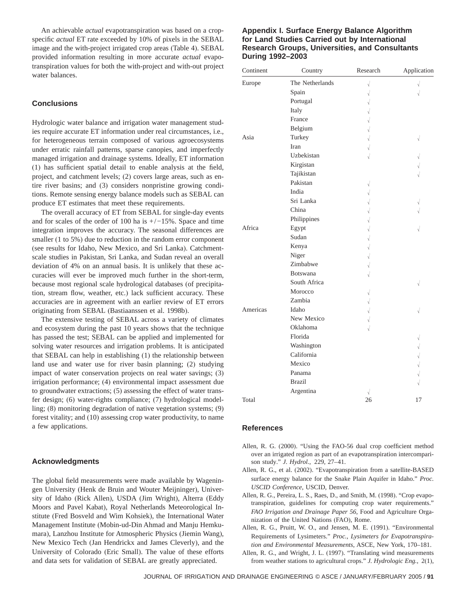An achievable *actual* evapotranspiration was based on a cropspecific *actual* ET rate exceeded by 10% of pixels in the SEBAL image and the with-project irrigated crop areas (Table 4). SEBAL provided information resulting in more accurate *actual* evapotranspiration values for both the with-project and with-out project water balances.

## **Conclusions**

Hydrologic water balance and irrigation water management studies require accurate ET information under real circumstances, i.e., for heterogeneous terrain composed of various agroecosystems under erratic rainfall patterns, sparse canopies, and imperfectly managed irrigation and drainage systems. Ideally, ET information (1) has sufficient spatial detail to enable analysis at the field, project, and catchment levels; (2) covers large areas, such as entire river basins; and (3) considers nonpristine growing conditions. Remote sensing energy balance models such as SEBAL can produce ET estimates that meet these requirements.

The overall accuracy of ET from SEBAL for single-day events and for scales of the order of 100 ha is +/−15%. Space and time integration improves the accuracy. The seasonal differences are smaller (1 to 5%) due to reduction in the random error component (see results for Idaho, New Mexico, and Sri Lanka). Catchmentscale studies in Pakistan, Sri Lanka, and Sudan reveal an overall deviation of 4% on an annual basis. It is unlikely that these accuracies will ever be improved much further in the short-term, because most regional scale hydrological databases (of precipitation, stream flow, weather, etc.) lack sufficient accuracy. These accuracies are in agreement with an earlier review of ET errors originating from SEBAL (Bastiaanssen et al. 1998b).

The extensive testing of SEBAL across a variety of climates and ecosystem during the past 10 years shows that the technique has passed the test; SEBAL can be applied and implemented for solving water resources and irrigation problems. It is anticipated that SEBAL can help in establishing (1) the relationship between land use and water use for river basin planning; (2) studying impact of water conservation projects on real water savings; (3) irrigation performance; (4) environmental impact assessment due to groundwater extractions; (5) assessing the effect of water transfer design; (6) water-rights compliance; (7) hydrological modelling; (8) monitoring degradation of native vegetation systems; (9) forest vitality; and (10) assessing crop water productivity, to name a few applications.

#### **Acknowledgments**

The global field measurements were made available by Wageningen University (Henk de Bruin and Wouter Meijninger), University of Idaho (Rick Allen), USDA (Jim Wright), Alterra (Eddy Moors and Pavel Kabat), Royal Netherlands Meteorological Institute (Fred Bosveld and Wim Kohsiek), the International Water Management Institute (Mobin-ud-Din Ahmad and Manju Hemkumara), Lanzhou Institute for Atmospheric Physics (Jiemin Wang), New Mexico Tech (Jan Hendrickx and James Cleverly), and the University of Colorado (Eric Small). The value of these efforts and data sets for validation of SEBAL are greatly appreciated.

# **Appendix I. Surface Energy Balance Algorithm for Land Studies Carried out by International Research Groups, Universities, and Consultants During 1992–2003**

| Continent | Country         | Research  | Application |
|-----------|-----------------|-----------|-------------|
| Europe    | The Netherlands | $\sqrt{}$ | $\sqrt{}$   |
|           | Spain           | $\sqrt{}$ |             |
|           | Portugal        |           |             |
|           | Italy           |           |             |
|           | France          |           |             |
|           | Belgium         |           |             |
| Asia      | Turkey          |           | $\sqrt{}$   |
|           | Iran            |           |             |
|           | Uzbekistan      |           | $\sqrt{}$   |
|           | Kirgistan       |           |             |
|           | Tajikistan      |           |             |
|           | Pakistan        | $\sqrt{}$ |             |
|           | India           |           |             |
|           | Sri Lanka       |           |             |
|           | China           |           |             |
|           | Philippines     |           |             |
| Africa    | Egypt           |           |             |
|           | Sudan           |           |             |
|           | Kenya           |           |             |
|           | Niger           |           |             |
|           | Zimbabwe        |           |             |
|           | <b>Botswana</b> |           |             |
|           | South Africa    |           | $\sqrt{}$   |
|           | Morocco         |           |             |
|           | Zambia          |           |             |
| Americas  | Idaho           |           |             |
|           | New Mexico      |           |             |
|           | Oklahoma        |           |             |
|           | Florida         |           |             |
|           | Washington      |           |             |
|           | California      |           | $\sqrt{}$   |
|           | Mexico          |           | $\sqrt{}$   |
|           | Panama          |           | $\sqrt{}$   |
|           | <b>Brazil</b>   |           |             |
|           | Argentina       |           |             |
| Total     |                 | 26        | 17          |

## **References**

- Allen, R. G. (2000). "Using the FAO-56 dual crop coefficient method over an irrigated region as part of an evapotranspiration intercomparison study." *J. Hydrol.*, 229, 27–41.
- Allen, R. G., et al. (2002). "Evapotranspiration from a satellite-BASED surface energy balance for the Snake Plain Aquifer in Idaho." *Proc. USCID Conference*, USCID, Denver.
- Allen, R. G., Pereira, L. S., Raes, D., and Smith, M. (1998). "Crop evapotranspiration, guidelines for computing crop water requirements." *FAO Irrigation and Drainage Paper 56*, Food and Agriculture Organization of the United Nations (FAO), Rome.
- Allen, R. G., Pruitt, W. O., and Jensen, M. E. (1991). "Environmental Requirements of Lysimeters." *Proc., Lysimeters for Evapotranspiration and Environmental Measurements*, ASCE, New York, 170–181.
- Allen, R. G., and Wright, J. L. (1997). "Translating wind measurements from weather stations to agricultural crops." *J. Hydrologic Eng.*, 2(1),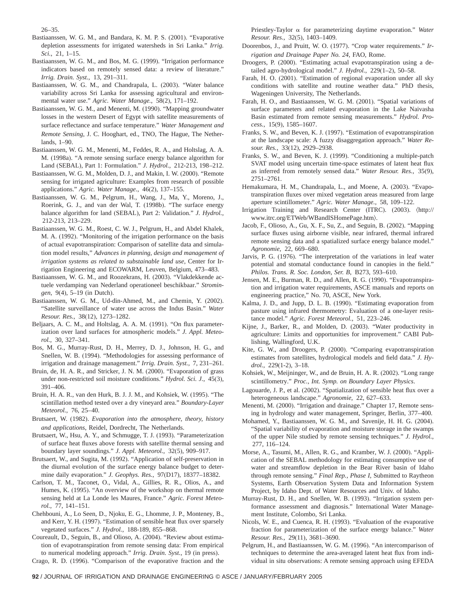26–35.

- Bastiaanssen, W. G. M., and Bandara, K. M. P. S. (2001). "Evaporative depletion assessments for irrigated watersheds in Sri Lanka." *Irrig. Sci.*, 21, 1–15.
- Bastiaanssen, W. G. M., and Bos, M. G. (1999). "Irrigation performance indicators based on remotely sensed data: a review of literature." *Irrig. Drain. Syst.*, 13, 291–311.
- Bastiaanssen, W. G. M., and Chandrapala, L. (2003). "Water balance variability across Sri Lanka for assessing agricultural and environmental water use." *Agric. Water Manage.*, 58(2), 171–192.
- Bastiaanssen, W. G. M., and Menenti, M. (1990). "Mapping groundwater losses in the western Desert of Egypt with satellite measurements of surface reflectance and surface temperature." *Water Management and Remote Sensing*, J. C. Hooghart, ed., TNO, The Hague, The Netherlands, 1–90.
- Bastiaanssen, W. G. M., Menenti, M., Feddes, R. A., and Holtslag, A. A. M. (1998a). "A remote sensing surface energy balance algorithm for Land (SEBAL), Part 1: Formulation." *J. Hydrol.*, 212-213, 198–212.
- Bastiaanssen, W. G. M., Molden, D. J., and Makin, I. W. (2000). "Remote sensing for irrigated agriculture: Examples from research of possible applications." *Agric. Water Manage.*, 46(2), 137–155.
- Bastiaanssen, W. G. M., Pelgrum, H., Wang, J., Ma, Y., Moreno, J., Roerink, G. J., and van der Wal, T. (1998b). "The surface energy balance algorithm for land (SEBAL), Part 2: Validation." *J. Hydrol.*, 212-213, 213–229.
- Bastiaanssen, W. G. M., Roest, C. W. J., Pelgrum, H., and Abdel Khalek, M. A. (1992). "Monitoring of the irrigation performance on the basis of actual evapotranspiration: Comparison of satellite data and simulation model results," *Advances in planning, design and management of irrigation systems as related to substainable land use*, Center for Irrigation Engineering and ECOWARM, Leuven, Belgium, 473–483.
- Bastiaanssen, W. G. M., and Roozekrans, H. (2003). "Vlakdekkende actuele verdamping van Nederland operationeel beschikbaar." *Stromingen*, 9(4), 5–19 (in Dutch).
- Bastiaanssen, W. G. M., Ud-din-Ahmed, M., and Chemin, Y. (2002). "Satellite surveillance of water use across the Indus Basin." *Water Resour. Res.*, 38(12), 1273–1282.
- Beljaars, A. C. M., and Holtslag, A. A. M. (1991). "On flux parameterization over land surfaces for atmospheric models." *J. Appl. Meteorol.*, 30, 327–341.
- Bos, M. G., Murray-Rust, D. H., Merrey, D. J., Johnson, H. G., and Snellen, W. B. (1994). "Methodologies for assessing performance of irrigation and drainage management." *Irrig. Drain. Syst.*, 7, 231–261.
- Bruin, de, H. A. R., and Stricker, J. N. M. (2000). "Evaporation of grass under non-restricted soil moisture conditions." *Hydrol. Sci. J.*, 45(3), 391–406.
- Bruin, H. A. R., van den Hurk, B. J. J. M., and Kohsiek, W. (1995). "The scintillation method tested over a dry vineyard area." *Boundary-Layer Meteorol.*, 76, 25–40.
- Brutsaert, W. (1982). *Evaporation into the atmosphere, theory, history and applications*, Reidel, Dordrecht, The Netherlands.
- Brutsaert, W., Hsu, A. Y., and Schmugge, T. J. (1993). "Parameterization of surface heat fluxes above forests with satellite thermal sensing and boundary layer soundings." *J. Appl. Meteorol.*, 32(5), 909–917.
- Brutsaert, W., and Sugita, M. (1992). "Application of self-preservation in the diurnal evolution of the surface energy balance budget to determine daily evaporation." *J. Geophys. Res.*, 97(D17), 18377–18382.
- Carlson, T. M., Taconet, O., Vidal, A., Gillies, R. R., Olios, A., and Humes, K. (1995). "An overview of the workshop on thermal remote sensing held at La Londe les Maures, France." *Agric. Forest Meteorol.*, 77, 141–151.
- Chehbouni, A., Lo Seen, D., Njoku, E. G., Lhomme, J. P., Monteney, B., and Kerr, Y. H. (1997). "Estimation of sensible heat flux over sparsely vegetated surfaces." *J. Hydrol.*, 188-189, 855–868.
- Coureault, D., Seguin, B., and Olioso, A. (2004). "Review about estimation of evapotranspiration from remote sensing data: From empirical to numerical modeling approach." *Irrig. Drain. Syst.*, 19 (in press).

Crago, R. D. (1996). "Comparison of the evaporative fraction and the

Priestley-Taylor a for parameterizing daytime evaporation." *Water Resour. Res.*, 32(5), 1403–1409.

- Doorenbos, J., and Pruitt, W. O. (1977). "Crop water requirements." *Irrigation and Drainage Paper No. 24*, FAO, Rome.
- Droogers, P. (2000). "Estimating actual evapotranspiration using a detailed agro-hydrological model." *J. Hydrol.*, 229(1–2), 50–58.
- Farah, H. O. (2001). "Estimation of regional evaporation under all sky conditions with satellite and routine weather data." PhD thesis, Wageningen University, The Netherlands.
- Farah, H. O., and Bastiaanssen, W. G. M. (2001). "Spatial variations of surface parameters and related evaporation in the Lake Naivasha Basin estimated from remote sensing measurements." *Hydrol. Process.*, 15(9), 1585–1607.
- Franks, S. W., and Beven, K. J. (1997). "Estimation of evapotranspiration at the landscape scale: A fuzzy disaggregation approach." *Water Resour. Res.*, 33(12), 2929–2938.
- Franks, S. W., and Beven, K. J. (1999). "Conditioning a multiple-patch SVAT model using uncertain time-space estimates of latent heat flux as inferred from remotely sensed data." *Water Resour. Res.*, 35(9), 2751–2761.
- Hemakumara, H. M., Chandrapala, L., and Moene, A. (2003). "Evapotranspiration fluxes over mixed vegetation areas measured from large aperture scintillometer." *Agric. Water Manage.*, 58, 109–122.
- Irrigation Training and Research Center (ITRC). (2003).  $\langle$ http:// www.itrc.org/ETWeb/WBandISHomePage.htm&.
- Jacob, F., Olioso, A., Gu, X. F., Su, Z., and Seguin, B. (2002). "Mapping surface fluxes using airborne visible, near infrared, thermal infrared remote sensing data and a spatialized surface energy balance model." *Agronomie*, 22, 669–680.
- Jarvis, P. G. (1976). "The interpretation of the variations in leaf water potential and stomatal conductance found in canopies in the field." *Philos. Trans. R. Soc. London, Ser. B*, B273, 593–610.
- Jensen, M. E., Burman, R. D., and Allen, R. G. (1990). "Evapotranspiration and irrigation water requirements, ASCE manuals and reports on engineering practice," No. 70, ASCE, New York.
- Kalma, J. D., and Jupp, D. L. B. (1990). "Estimating evaporation from pasture using infrared thermometry: Evaluation of a one-layer resistance model." *Agric. Forest Meteorol.*, 51, 223–246.
- Kijne, J., Barker, R., and Molden, D. (2003). "Water productivity in agriculture: Limits and opportunities for improvement." CABI Publishing, Wallingford, U.K.
- Kite, G. W., and Droogers, P. (2000). "Comparing evapotranspiration estimates from satellites, hydrological models and field data." *J. Hydrol.*, 229(1-2), 3–18.
- Kohsiek, W., Meijninger, W., and de Bruin, H. A. R. (2002). "Long range scintillometry." *Proc., Int. Symp. on Boundary Layer Physics*.
- Lagouarde, J. P., et al. (2002). "Spatialization of sensible heat flux over a heterogeneous landscape." *Agronomie*, 22, 627–633.
- Menenti, M. (2000). "Irrigation and drainage." Chapter 17, Remote sensing in hydrology and water management, Springer, Berlin, 377–400.
- Mohamed, Y., Bastiaanssen, W. G. M., and Savenije, H. H. G. (2004). "Spatial variability of evaporation and moisture storage in the swamps of the upper Nile studied by remote sensing techniques." *J. Hydrol.*, 277, 116–124.
- Morse, A., Tasumi, M., Allen, R. G., and Kramber, W. J. (2000). "Application of the SEBAL methodology for estimating consumptive use of water and streamflow depletion in the Bear River basin of Idaho through remote sensing." *Final Rep., Phase I*, Submitted to Raytheon Systems, Earth Observation System Data and Information System Project, by Idaho Dept. of Water Resources and Univ. of Idaho.
- Murray-Rust, D. H., and Snellen, W. B. (1993). "Irrigation system performance assessment and diagnosis." International Water Management Institute, Colombo, Sri Lanka.
- Nicols, W. E., and Cuenca, R. H. (1993). "Evaluation of the evaporative fraction for parameterization of the surface energy balance." *Water Resour. Res.*, 29(11), 3681–3690.
- Pelgrum, H., and Bastiaanssen, W. G. M. (1996). "An intercomparison of techniques to determine the area-averaged latent heat flux from individual in situ observations: A remote sensing approach using EFEDA